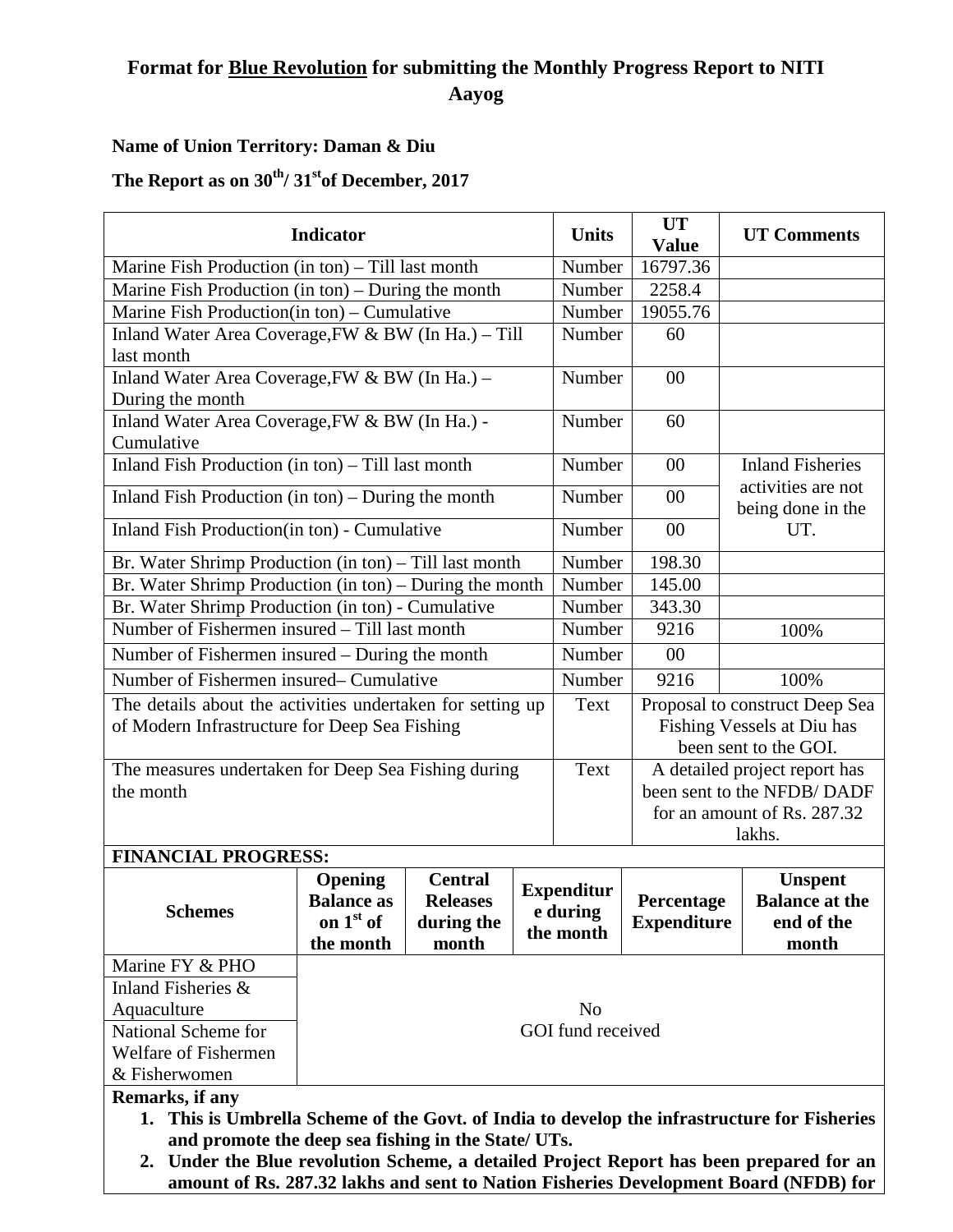## **Format for Blue Revolution for submitting the Monthly Progress Report to NITI Aayog**

## **Name of Union Territory: Daman & Diu**

The Report as on  $30^{th}$ /  $31^{st}$ of December, 2017

| <b>Indicator</b>                                                                             |                       |                 |  | <b>Units</b>      | <b>UT</b><br><b>Value</b>      | <b>UT Comments</b>                      |  |
|----------------------------------------------------------------------------------------------|-----------------------|-----------------|--|-------------------|--------------------------------|-----------------------------------------|--|
| Marine Fish Production (in ton) – Till last month                                            |                       |                 |  | Number            | 16797.36                       |                                         |  |
| Marine Fish Production (in ton) - During the month                                           |                       |                 |  | Number            | 2258.4                         |                                         |  |
| Marine Fish Production(in ton) - Cumulative                                                  |                       |                 |  | Number            | 19055.76                       |                                         |  |
| Inland Water Area Coverage, FW & BW (In Ha.) - Till                                          |                       |                 |  | Number            | 60                             |                                         |  |
| last month                                                                                   |                       |                 |  |                   |                                |                                         |  |
| Inland Water Area Coverage, FW & BW (In Ha.) -                                               |                       |                 |  | Number            | 00                             |                                         |  |
| During the month                                                                             |                       |                 |  |                   |                                |                                         |  |
| Inland Water Area Coverage, FW & BW (In Ha.) -                                               |                       |                 |  | Number            | 60                             |                                         |  |
| Cumulative                                                                                   |                       |                 |  |                   |                                |                                         |  |
| Inland Fish Production (in ton) – Till last month                                            |                       |                 |  | Number            | 00                             | <b>Inland Fisheries</b>                 |  |
| Inland Fish Production (in ton) – During the month                                           |                       |                 |  | Number            | 00                             | activities are not<br>being done in the |  |
| Inland Fish Production(in ton) - Cumulative                                                  |                       |                 |  | Number            | 00                             | UT.                                     |  |
| Br. Water Shrimp Production (in ton) - Till last month                                       |                       |                 |  | Number            | 198.30                         |                                         |  |
| Br. Water Shrimp Production (in ton) – During the month                                      |                       |                 |  | Number            | 145.00                         |                                         |  |
| Br. Water Shrimp Production (in ton) - Cumulative                                            |                       |                 |  | Number            | 343.30                         |                                         |  |
| Number of Fishermen insured – Till last month                                                |                       |                 |  | Number            | 9216                           | 100%                                    |  |
| Number of Fishermen insured – During the month                                               |                       |                 |  | Number            | 00                             |                                         |  |
| Number of Fishermen insured-Cumulative                                                       |                       |                 |  | Number            | 9216                           | 100%                                    |  |
| The details about the activities undertaken for setting up                                   |                       |                 |  | Text              | Proposal to construct Deep Sea |                                         |  |
| of Modern Infrastructure for Deep Sea Fishing                                                |                       |                 |  |                   |                                | Fishing Vessels at Diu has              |  |
|                                                                                              |                       |                 |  |                   |                                | been sent to the GOI.                   |  |
| The measures undertaken for Deep Sea Fishing during                                          |                       |                 |  | Text              | A detailed project report has  |                                         |  |
| the month                                                                                    |                       |                 |  |                   | been sent to the NFDB/DADF     |                                         |  |
|                                                                                              |                       |                 |  |                   | for an amount of Rs. 287.32    |                                         |  |
|                                                                                              |                       |                 |  |                   |                                | lakhs.                                  |  |
| <b>FINANCIAL PROGRESS:</b>                                                                   |                       |                 |  |                   |                                |                                         |  |
|                                                                                              | Opening               | <b>Central</b>  |  | <b>Expenditur</b> |                                | <b>Unspent</b>                          |  |
| <b>Schemes</b>                                                                               | <b>Balance</b> as     | <b>Releases</b> |  | e during          | Percentage                     | <b>Balance at the</b>                   |  |
|                                                                                              | on 1 <sup>st</sup> of | during the      |  | the month         | <b>Expenditure</b>             | end of the                              |  |
| Marine FY & PHO                                                                              | the month             | month           |  |                   |                                | month                                   |  |
| Inland Fisheries &                                                                           |                       |                 |  |                   |                                |                                         |  |
| Aquaculture                                                                                  | N <sub>0</sub>        |                 |  |                   |                                |                                         |  |
| National Scheme for                                                                          | GOI fund received     |                 |  |                   |                                |                                         |  |
| Welfare of Fishermen                                                                         |                       |                 |  |                   |                                |                                         |  |
| & Fisherwomen                                                                                |                       |                 |  |                   |                                |                                         |  |
| Remarks, if any                                                                              |                       |                 |  |                   |                                |                                         |  |
| 1. This is Umbrella Scheme of the Govt. of India to develop the infrastructure for Fisheries |                       |                 |  |                   |                                |                                         |  |
| and promote the deep sea fishing in the State/ UTs.                                          |                       |                 |  |                   |                                |                                         |  |

**2. Under the Blue revolution Scheme, a detailed Project Report has been prepared for an amount of Rs. 287.32 lakhs and sent to Nation Fisheries Development Board (NFDB) for**